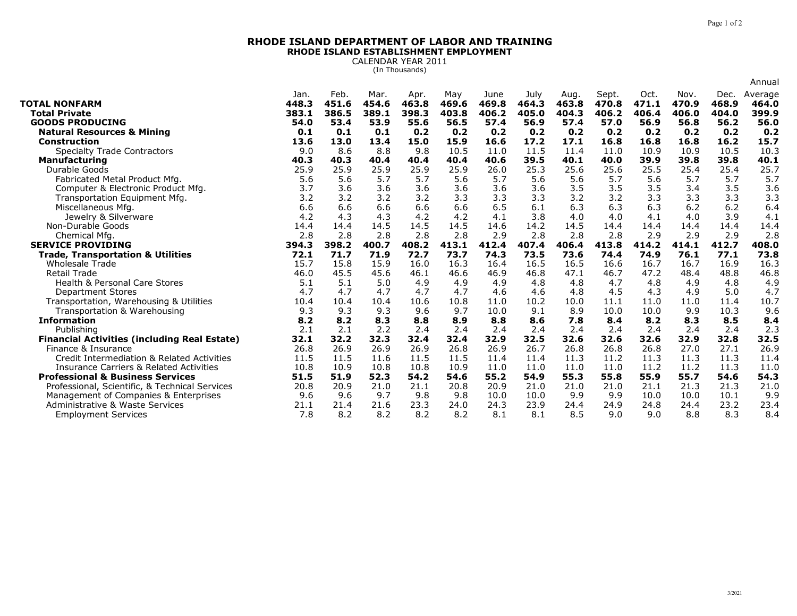## **RHODE ISLAND DEPARTMENT OF LABOR AND TRAININGRHODE ISLAND ESTABLISHMENT EMPLOYMENT**

CALENDAR YEAR 2011 (In Thousands)

|                                                                                         |               |               |               |               |              |               |               |               |                |               |               |               | Annual           |
|-----------------------------------------------------------------------------------------|---------------|---------------|---------------|---------------|--------------|---------------|---------------|---------------|----------------|---------------|---------------|---------------|------------------|
| <b>TOTAL NONFARM</b>                                                                    | Jan.<br>448.3 | Feb.<br>451.6 | Mar.<br>454.6 | Apr.<br>463.8 | May<br>469.6 | June<br>469.8 | July<br>464.3 | Aug.<br>463.8 | Sept.<br>470.8 | Oct.<br>471.1 | Nov.<br>470.9 | Dec.<br>468.9 | Average<br>464.0 |
| <b>Total Private</b>                                                                    | 383.1         | 386.5         | 389.1         | 398.3         | 403.8        | 406.2         | 405.0         | 404.3         | 406.2          | 406.4         | 406.0         | 404.0         | 399.9            |
| <b>GOODS PRODUCING</b>                                                                  | 54.0          | 53.4          | 53.9          | 55.6          | 56.5         | 57.4          | 56.9          | 57.4          | 57.0           | 56.9          | 56.8          | 56.2          | 56.0             |
| <b>Natural Resources &amp; Mining</b>                                                   | 0.1           | 0.1           | 0.1           | 0.2           | 0.2          | 0.2           | 0.2           | 0.2           | 0.2            | 0.2           | 0.2           | 0.2           | 0.2              |
| <b>Construction</b>                                                                     | 13.6          | 13.0          | 13.4          | 15.0          | 15.9         | 16.6          | 17.2          | 17.1          | 16.8           | 16.8          | 16.8          | 16.2          | 15.7             |
| <b>Specialty Trade Contractors</b>                                                      | 9.0           | 8.6           | 8.8           | 9.8           | 10.5         | 11.0          | 11.5          | 11.4          | 11.0           | 10.9          | 10.9          | 10.5          | 10.3             |
| <b>Manufacturing</b>                                                                    | 40.3          | 40.3          | 40.4          | 40.4          | 40.4         | 40.6          | 39.5          | 40.1          | 40.0           | 39.9          | 39.8          | 39.8          | 40.1             |
| Durable Goods                                                                           | 25.9          | 25.9          | 25.9          | 25.9          | 25.9         | 26.0          | 25.3          | 25.6          | 25.6           | 25.5          | 25.4          | 25.4          | 25.7             |
| Fabricated Metal Product Mfg.                                                           | 5.6           | 5.6           | 5.7           | 5.7           | 5.6          | 5.7           | 5.6           | 5.6           | 5.7            | 5.6           | 5.7           | 5.7           | 5.7              |
| Computer & Electronic Product Mfg                                                       | 3.7           | 3.6           | 3.6           | 3.6           | 3.6          | 3.6           | 3.6           | 3.5           | 3.5            | 3.5           | 3.4           | 3.5           | 3.6              |
| Transportation Equipment Mfg.                                                           | 3.2           | 3.2           | 3.2           | 3.2           | 3.3          | 3.3           | 3.3           | 3.2           | 3.2            | 3.3           | 3.3           | 3.3           | 3.3              |
| Miscellaneous Mfg.                                                                      | 6.6           | 6.6           | 6.6           | 6.6           | 6.6          | 6.5           | 6.1           | 6.3           | 6.3            | 6.3           | 6.2           | 6.2           | 6.4              |
| Jewelry & Silverware                                                                    | 4.2           | 4.3           | 4.3           | 4.2           | 4.2          | 4.1           | 3.8           | 4.0           | 4.0            | 4.1           | 4.0           | 3.9           | 4.1              |
| Non-Durable Goods                                                                       | 14.4          | 14.4          | 14.5          | 14.5          | 14.5         | 14.6          | 14.2          | 14.5          | 14.4           | 14.4          | 14.4          | 14.4          | 14.4             |
| Chemical Mfg.                                                                           | 2.8           | 2.8           | 2.8           | 2.8           | 2.8          | 2.9           | 2.8           | 2.8           | 2.8            | 2.9           | 2.9           | 2.9           | 2.8              |
| <b>SERVICE PROVIDING</b>                                                                | 394.3         | 398.2         | 400.7         | 408.2         | 413.1        | 412.4         | 407.4         | 406.4         | 413.8          | 414.2         | 414.1         | 412.7         | 408.0            |
| <b>Trade, Transportation &amp; Utilities</b>                                            | 72.1          | 71.7          | 71.9          | 72.7          | 73.7         | 74.3          | 73.5          | 73.6          | 74.4           | 74.9          | 76.1          | 77.1          | 73.8             |
| <b>Wholesale Trade</b>                                                                  | 15.7          | 15.8          | 15.9          | 16.0          | 16.3         | 16.4          | 16.5          | 16.5          | 16.6           | 16.7          | 16.7          | 16.9          | 16.3             |
| <b>Retail Trade</b>                                                                     | 46.0          | 45.5          | 45.6          | 46.1          | 46.6         | 46.9          | 46.8          | 47.1          | 46.7           | 47.2          | 48.4          | 48.8          | 46.8             |
| <b>Health &amp; Personal Care Stores</b>                                                | 5.1           | 5.1           | 5.0           | 4.9           | 4.9          | 4.9           | 4.8           | 4.8           | 4.7            | 4.8           | 4.9           | 4.8           | 4.9              |
| <b>Department Stores</b>                                                                | 4.7           | 4.7           | 4.7           | 4.7           | 4.7          | 4.6           | 4.6           | 4.8           | 4.5            | 4.3           | 4.9           | 5.0           | 4.7              |
| Transportation, Warehousing & Utilities                                                 | 10.4          | 10.4          | 10.4          | 10.6          | 10.8         | 11.0          | 10.2          | 10.0          | 11.1           | 11.0          | 11.0          | 11.4          | 10.7             |
| Transportation & Warehousing                                                            | 9.3           | 9.3           | 9.3           | 9.6           | 9.7          | 10.0          | 9.1           | 8.9           | 10.0           | 10.0          | 9.9           | 10.3          | 9.6              |
| <b>Information</b>                                                                      | 8.2           | 8.2           | 8.3           | 8.8           | 8.9          | 8.8           | 8.6           | 7.8           | 8.4            | 8.2           | 8.3           | 8.5           | 8.4              |
| Publishina                                                                              | 2.1           | 2.1           | 2.2           | 2.4           | 2.4          | 2.4           | 2.4           | 2.4           | 2.4            | 2.4           | 2.4           | 2.4           | 2.3              |
| <b>Financial Activities (including Real Estate)</b>                                     | 32.1          | 32.2          | 32.3          | 32.4          | 32.4         | 32.9          | 32.5          | 32.6          | 32.6           | 32.6          | 32.9          | 32.8          | 32.5             |
| Finance & Insurance                                                                     | 26.8          | 26.9          | 26.9          | 26.9          | 26.8         | 26.9          | 26.7          | 26.8          | 26.8           | 26.8          | 27.0          | 27.1          | 26.9             |
| Credit Intermediation & Related Activities                                              | 11.5          | 11.5          | 11.6          | 11.5          | 11.5         | 11.4          | 11.4          | 11.3          | 11.2           | 11.3          | 11.3          | 11.3          | 11.4             |
| <b>Insurance Carriers &amp; Related Activities</b>                                      | 10.8          | 10.9          | 10.8          | 10.8          | 10.9         | 11.0          | 11.0          | 11.0          | 11.0           | 11.2          | 11.2          | 11.3          | 11.0<br>54.3     |
| <b>Professional &amp; Business Services</b>                                             | 51.5          | 51.9          | 52.3          | 54.2          | 54.6         | 55.2          | 54.9          | 55.3          | 55.8           | 55.9          | 55.7          | 54.6          |                  |
| Professional, Scientific, & Technical Services<br>Management of Companies & Enterprises | 20.8<br>9.6   | 20.9<br>9.6   | 21.0<br>9.7   | 21.1<br>9.8   | 20.8<br>9.8  | 20.9<br>10.0  | 21.0<br>10.0  | 21.0<br>9.9   | 21.0<br>9.9    | 21.1<br>10.0  | 21.3<br>10.0  | 21.3<br>10.1  | 21.0<br>9.9      |
| Administrative & Waste Services                                                         | 21.1          | 21.4          | 21.6          | 23.3          | 24.0         | 24.3          | 23.9          | 24.4          | 24.9           | 24.8          | 24.4          | 23.2          | 23.4             |
| <b>Employment Services</b>                                                              | 7.8           | 8.2           | 8.2           | 8.2           | 8.2          | 8.1           | 8.1           | 8.5           | 9.0            | 9.0           | 8.8           | 8.3           | 8,4              |
|                                                                                         |               |               |               |               |              |               |               |               |                |               |               |               |                  |